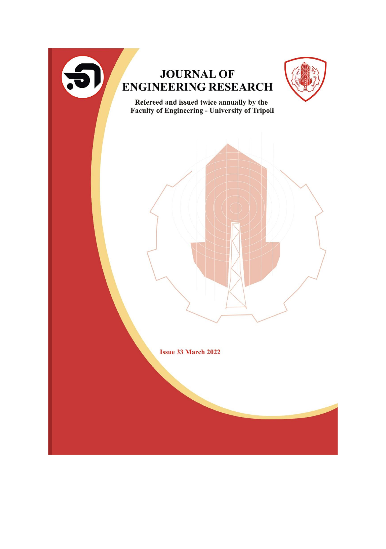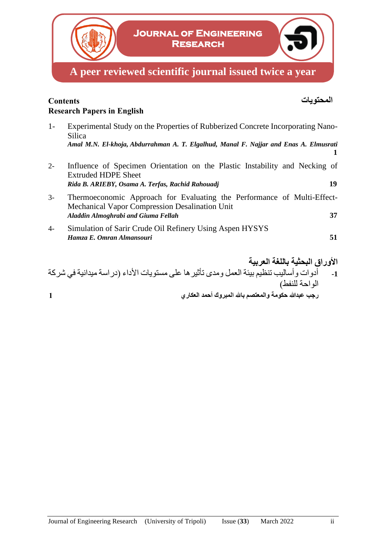

## **المحتويات Contents Research Papers in English**

- 1- Experimental Study on the Properties of Rubberized Concrete Incorporating Nano-Silica *Amal**M.N. El-khoja, Abdurrahman A. T. Elgalhud, Manal F. Najjar and Enas A. Elmusrati* **1**
- 2- Influence of Specimen Orientation on the Plastic Instability and Necking of Extruded HDPE Sheet *Rida B. ARIEBY, Osama A. Terfas, Rachid Rahouadj* **19**
- 3- Thermoeconomic Approach for Evaluating the Performance of Multi-Effect-Mechanical Vapor Compression Desalination Unit *Aladdin Almoghrabi and Giuma Fellah* **37**
- 4- Simulation of Sarir Crude Oil Refinery Using Aspen HYSYS *Hamza E. Omran Almansouri* **51**
- **األوراق البحثية باللغة العربية -1** أدوات وأساليب تنظيم بيئة العمل ومدى تأثيرها على مستويات األداء )دراسة ميدانية في شركة الواحة للنفط) **رجب عبدهللا حكومة والمعتصم باهلل المبروك أحمد العكاري 1**